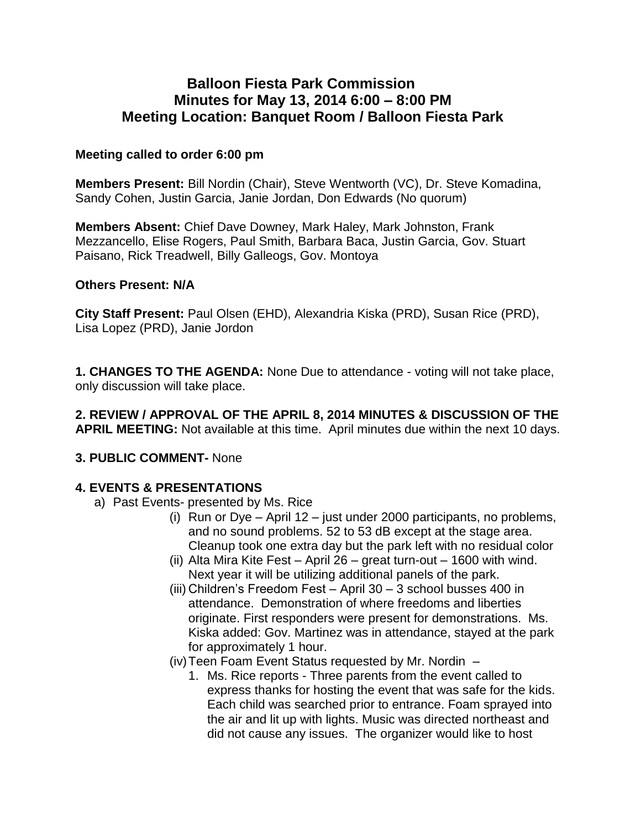## **Balloon Fiesta Park Commission Minutes for May 13, 2014 6:00 – 8:00 PM Meeting Location: Banquet Room / Balloon Fiesta Park**

#### **Meeting called to order 6:00 pm**

**Members Present:** Bill Nordin (Chair), Steve Wentworth (VC), Dr. Steve Komadina, Sandy Cohen, Justin Garcia, Janie Jordan, Don Edwards (No quorum)

**Members Absent:** Chief Dave Downey, Mark Haley, Mark Johnston, Frank Mezzancello, Elise Rogers, Paul Smith, Barbara Baca, Justin Garcia, Gov. Stuart Paisano, Rick Treadwell, Billy Galleogs, Gov. Montoya

#### **Others Present: N/A**

**City Staff Present:** Paul Olsen (EHD), Alexandria Kiska (PRD), Susan Rice (PRD), Lisa Lopez (PRD), Janie Jordon

**1. CHANGES TO THE AGENDA:** None Due to attendance - voting will not take place, only discussion will take place.

**2. REVIEW / APPROVAL OF THE APRIL 8, 2014 MINUTES & DISCUSSION OF THE APRIL MEETING:** Not available at this time. April minutes due within the next 10 days.

### **3. PUBLIC COMMENT-** None

### **4. EVENTS & PRESENTATIONS**

- a) Past Events- presented by Ms. Rice
	- (i) Run or Dye April 12 just under 2000 participants, no problems, and no sound problems. 52 to 53 dB except at the stage area. Cleanup took one extra day but the park left with no residual color
	- (ii) Alta Mira Kite Fest April 26 great turn-out 1600 with wind. Next year it will be utilizing additional panels of the park.
	- (iii) Children's Freedom Fest April 30 3 school busses 400 in attendance. Demonstration of where freedoms and liberties originate. First responders were present for demonstrations. Ms. Kiska added: Gov. Martinez was in attendance, stayed at the park for approximately 1 hour.
	- (iv)Teen Foam Event Status requested by Mr. Nordin
		- 1. Ms. Rice reports Three parents from the event called to express thanks for hosting the event that was safe for the kids. Each child was searched prior to entrance. Foam sprayed into the air and lit up with lights. Music was directed northeast and did not cause any issues. The organizer would like to host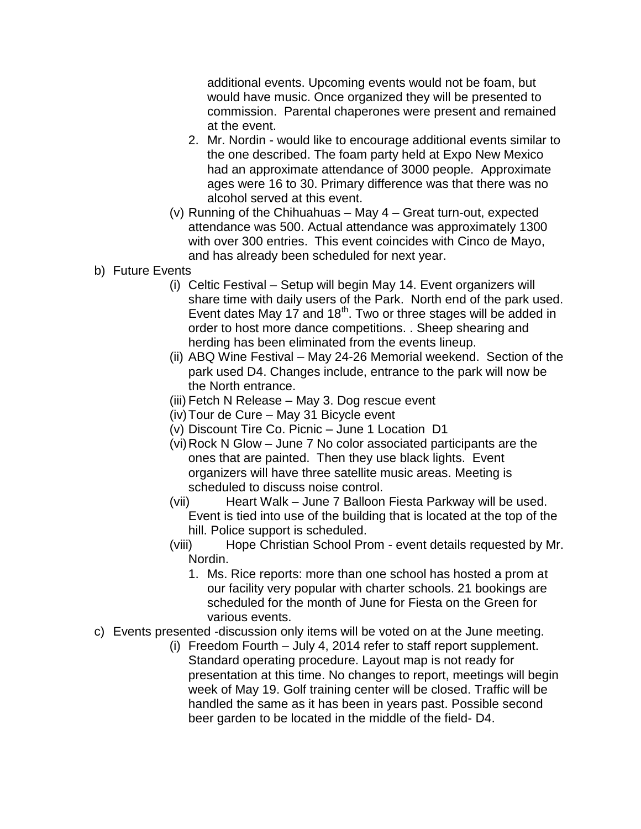additional events. Upcoming events would not be foam, but would have music. Once organized they will be presented to commission. Parental chaperones were present and remained at the event.

- 2. Mr. Nordin would like to encourage additional events similar to the one described. The foam party held at Expo New Mexico had an approximate attendance of 3000 people. Approximate ages were 16 to 30. Primary difference was that there was no alcohol served at this event.
- (v) Running of the Chihuahuas May 4 Great turn-out, expected attendance was 500. Actual attendance was approximately 1300 with over 300 entries. This event coincides with Cinco de Mayo, and has already been scheduled for next year.
- b) Future Events
	- (i) Celtic Festival Setup will begin May 14. Event organizers will share time with daily users of the Park. North end of the park used. Event dates May 17 and 18<sup>th</sup>. Two or three stages will be added in order to host more dance competitions. . Sheep shearing and herding has been eliminated from the events lineup.
	- (ii) ABQ Wine Festival May 24-26 Memorial weekend. Section of the park used D4. Changes include, entrance to the park will now be the North entrance.
	- (iii) Fetch N Release May 3. Dog rescue event
	- (iv)Tour de Cure May 31 Bicycle event
	- (v) Discount Tire Co. Picnic June 1 Location D1
	- (vi)Rock N Glow June 7 No color associated participants are the ones that are painted. Then they use black lights. Event organizers will have three satellite music areas. Meeting is scheduled to discuss noise control.
	- (vii) Heart Walk June 7 Balloon Fiesta Parkway will be used. Event is tied into use of the building that is located at the top of the hill. Police support is scheduled.
	- (viii) Hope Christian School Prom event details requested by Mr. Nordin.
		- 1. Ms. Rice reports: more than one school has hosted a prom at our facility very popular with charter schools. 21 bookings are scheduled for the month of June for Fiesta on the Green for various events.
- c) Events presented -discussion only items will be voted on at the June meeting.
	- (i) Freedom Fourth July 4, 2014 refer to staff report supplement. Standard operating procedure. Layout map is not ready for presentation at this time. No changes to report, meetings will begin week of May 19. Golf training center will be closed. Traffic will be handled the same as it has been in years past. Possible second beer garden to be located in the middle of the field- D4.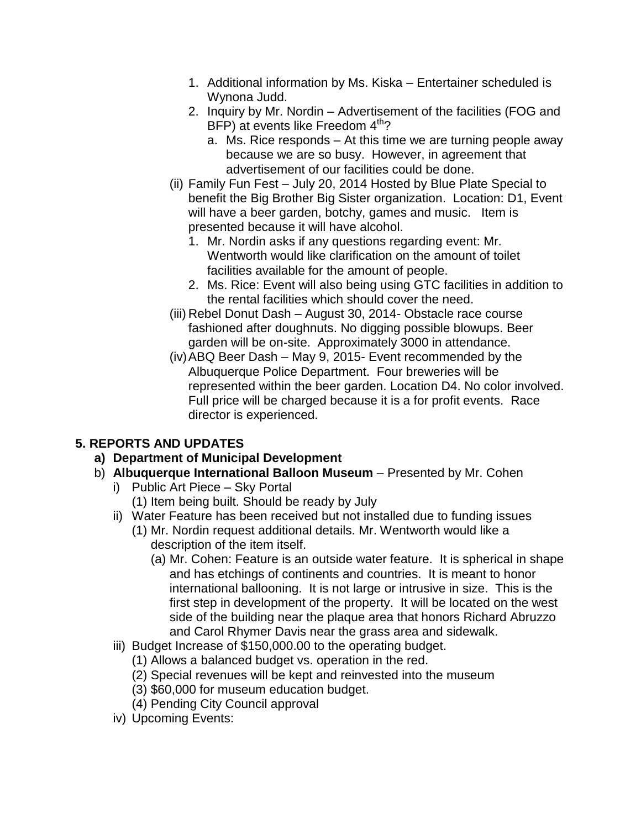- 1. Additional information by Ms. Kiska Entertainer scheduled is Wynona Judd.
- 2. Inquiry by Mr. Nordin Advertisement of the facilities (FOG and BFP) at events like Freedom  $4<sup>th</sup>$ ?
	- a. Ms. Rice responds At this time we are turning people away because we are so busy. However, in agreement that advertisement of our facilities could be done.
- (ii) Family Fun Fest July 20, 2014 Hosted by Blue Plate Special to benefit the Big Brother Big Sister organization. Location: D1, Event will have a beer garden, botchy, games and music. Item is presented because it will have alcohol.
	- 1. Mr. Nordin asks if any questions regarding event: Mr. Wentworth would like clarification on the amount of toilet facilities available for the amount of people.
	- 2. Ms. Rice: Event will also being using GTC facilities in addition to the rental facilities which should cover the need.
- (iii) Rebel Donut Dash August 30, 2014- Obstacle race course fashioned after doughnuts. No digging possible blowups. Beer garden will be on-site. Approximately 3000 in attendance.
- (iv)ABQ Beer Dash May 9, 2015- Event recommended by the Albuquerque Police Department. Four breweries will be represented within the beer garden. Location D4. No color involved. Full price will be charged because it is a for profit events. Race director is experienced.

# **5. REPORTS AND UPDATES**

- **a) Department of Municipal Development**
- b) **Albuquerque International Balloon Museum** Presented by Mr. Cohen
	- i) Public Art Piece Sky Portal
		- (1) Item being built. Should be ready by July
	- ii) Water Feature has been received but not installed due to funding issues (1) Mr. Nordin request additional details. Mr. Wentworth would like a
		- description of the item itself. (a) Mr. Cohen: Feature is an outside water feature. It is spherical in shape and has etchings of continents and countries. It is meant to honor international ballooning. It is not large or intrusive in size. This is the first step in development of the property. It will be located on the west side of the building near the plaque area that honors Richard Abruzzo and Carol Rhymer Davis near the grass area and sidewalk.
	- iii) Budget Increase of \$150,000.00 to the operating budget.
		- (1) Allows a balanced budget vs. operation in the red.
		- (2) Special revenues will be kept and reinvested into the museum
		- (3) \$60,000 for museum education budget.
		- (4) Pending City Council approval
	- iv) Upcoming Events: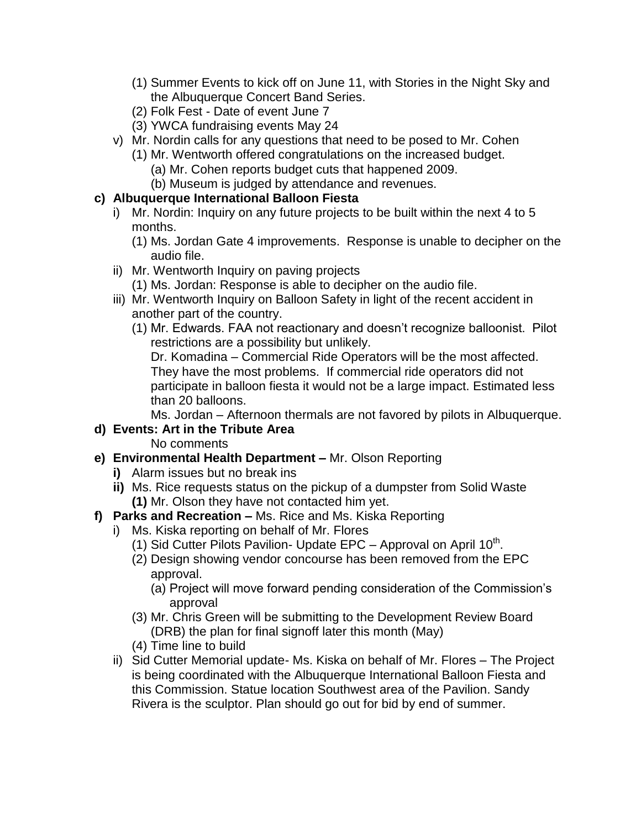- (1) Summer Events to kick off on June 11, with Stories in the Night Sky and the Albuquerque Concert Band Series.
- (2) Folk Fest Date of event June 7
- (3) YWCA fundraising events May 24
- v) Mr. Nordin calls for any questions that need to be posed to Mr. Cohen
	- (1) Mr. Wentworth offered congratulations on the increased budget.
		- (a) Mr. Cohen reports budget cuts that happened 2009.
			- (b) Museum is judged by attendance and revenues.

### **c) Albuquerque International Balloon Fiesta**

- i) Mr. Nordin: Inquiry on any future projects to be built within the next 4 to 5 months.
	- (1) Ms. Jordan Gate 4 improvements. Response is unable to decipher on the audio file.
- ii) Mr. Wentworth Inquiry on paving projects
	- (1) Ms. Jordan: Response is able to decipher on the audio file.
- iii) Mr. Wentworth Inquiry on Balloon Safety in light of the recent accident in another part of the country.
	- (1) Mr. Edwards. FAA not reactionary and doesn't recognize balloonist. Pilot restrictions are a possibility but unlikely.

Dr. Komadina – Commercial Ride Operators will be the most affected. They have the most problems. If commercial ride operators did not participate in balloon fiesta it would not be a large impact. Estimated less than 20 balloons.

Ms. Jordan – Afternoon thermals are not favored by pilots in Albuquerque.

## **d) Events: Art in the Tribute Area**

- No comments
- **e) Environmental Health Department –** Mr. Olson Reporting
	- **i)** Alarm issues but no break ins
	- **ii)** Ms. Rice requests status on the pickup of a dumpster from Solid Waste **(1)** Mr. Olson they have not contacted him yet.
- **f) Parks and Recreation –** Ms. Rice and Ms. Kiska Reporting
	- i) Ms. Kiska reporting on behalf of Mr. Flores
		- (1) Sid Cutter Pilots Pavilion- Update EPC Approval on April  $10^{th}$ .
		- (2) Design showing vendor concourse has been removed from the EPC approval.
			- (a) Project will move forward pending consideration of the Commission's approval
		- (3) Mr. Chris Green will be submitting to the Development Review Board (DRB) the plan for final signoff later this month (May)
		- (4) Time line to build
	- ii) Sid Cutter Memorial update- Ms. Kiska on behalf of Mr. Flores The Project is being coordinated with the Albuquerque International Balloon Fiesta and this Commission. Statue location Southwest area of the Pavilion. Sandy Rivera is the sculptor. Plan should go out for bid by end of summer.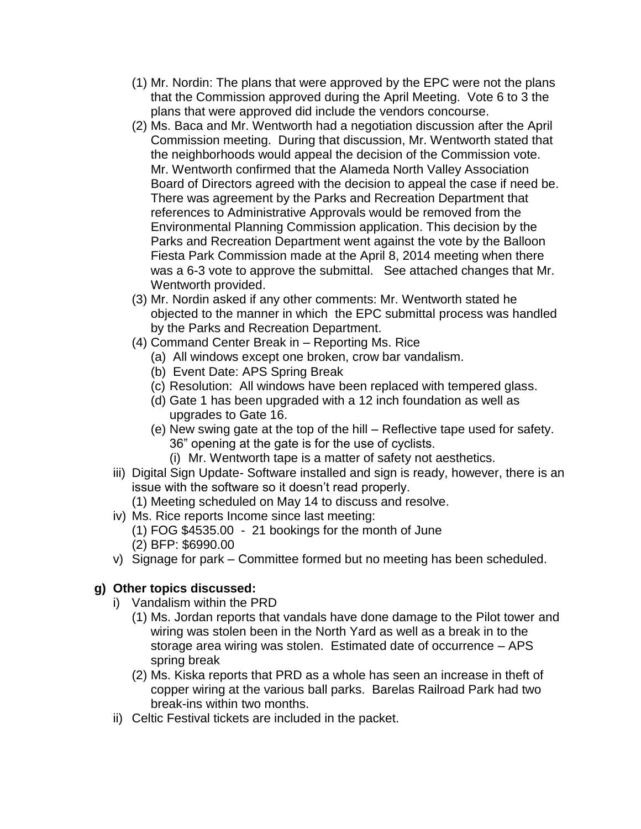- (1) Mr. Nordin: The plans that were approved by the EPC were not the plans that the Commission approved during the April Meeting. Vote 6 to 3 the plans that were approved did include the vendors concourse.
- (2) Ms. Baca and Mr. Wentworth had a negotiation discussion after the April Commission meeting. During that discussion, Mr. Wentworth stated that the neighborhoods would appeal the decision of the Commission vote. Mr. Wentworth confirmed that the Alameda North Valley Association Board of Directors agreed with the decision to appeal the case if need be. There was agreement by the Parks and Recreation Department that references to Administrative Approvals would be removed from the Environmental Planning Commission application. This decision by the Parks and Recreation Department went against the vote by the Balloon Fiesta Park Commission made at the April 8, 2014 meeting when there was a 6-3 vote to approve the submittal. See attached changes that Mr. Wentworth provided.
- (3) Mr. Nordin asked if any other comments: Mr. Wentworth stated he objected to the manner in which the EPC submittal process was handled by the Parks and Recreation Department.
- (4) Command Center Break in Reporting Ms. Rice
	- (a) All windows except one broken, crow bar vandalism.
	- (b) Event Date: APS Spring Break
	- (c) Resolution: All windows have been replaced with tempered glass.
	- (d) Gate 1 has been upgraded with a 12 inch foundation as well as upgrades to Gate 16.
	- (e) New swing gate at the top of the hill Reflective tape used for safety. 36" opening at the gate is for the use of cyclists.
		- (i) Mr. Wentworth tape is a matter of safety not aesthetics.
- iii) Digital Sign Update- Software installed and sign is ready, however, there is an issue with the software so it doesn't read properly.
	- (1) Meeting scheduled on May 14 to discuss and resolve.
- iv) Ms. Rice reports Income since last meeting:
	- (1) FOG \$4535.00 21 bookings for the month of June
	- (2) BFP: \$6990.00
- v) Signage for park Committee formed but no meeting has been scheduled.

### **g) Other topics discussed:**

- i) Vandalism within the PRD
	- (1) Ms. Jordan reports that vandals have done damage to the Pilot tower and wiring was stolen been in the North Yard as well as a break in to the storage area wiring was stolen. Estimated date of occurrence – APS spring break
	- (2) Ms. Kiska reports that PRD as a whole has seen an increase in theft of copper wiring at the various ball parks. Barelas Railroad Park had two break-ins within two months.
- ii) Celtic Festival tickets are included in the packet.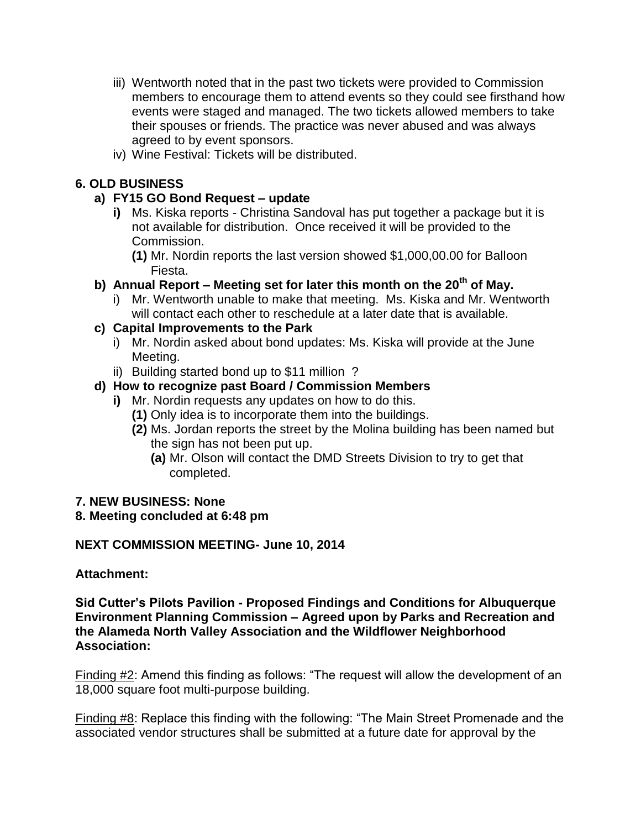- iii) Wentworth noted that in the past two tickets were provided to Commission members to encourage them to attend events so they could see firsthand how events were staged and managed. The two tickets allowed members to take their spouses or friends. The practice was never abused and was always agreed to by event sponsors.
- iv) Wine Festival: Tickets will be distributed.

### **6. OLD BUSINESS**

### **a) FY15 GO Bond Request – update**

- **i)** Ms. Kiska reports Christina Sandoval has put together a package but it is not available for distribution. Once received it will be provided to the Commission.
	- **(1)** Mr. Nordin reports the last version showed \$1,000,00.00 for Balloon Fiesta.
- **b) Annual Report – Meeting set for later this month on the 20th of May.** 
	- i) Mr. Wentworth unable to make that meeting. Ms. Kiska and Mr. Wentworth will contact each other to reschedule at a later date that is available.

### **c) Capital Improvements to the Park**

- i) Mr. Nordin asked about bond updates: Ms. Kiska will provide at the June Meeting.
- ii) Building started bond up to \$11 million ?

## **d) How to recognize past Board / Commission Members**

- **i)** Mr. Nordin requests any updates on how to do this.
	- **(1)** Only idea is to incorporate them into the buildings.
	- **(2)** Ms. Jordan reports the street by the Molina building has been named but the sign has not been put up.
		- **(a)** Mr. Olson will contact the DMD Streets Division to try to get that completed.

#### **7. NEW BUSINESS: None**

### **8. Meeting concluded at 6:48 pm**

### **NEXT COMMISSION MEETING- June 10, 2014**

#### **Attachment:**

**Sid Cutter's Pilots Pavilion - Proposed Findings and Conditions for Albuquerque Environment Planning Commission – Agreed upon by Parks and Recreation and the Alameda North Valley Association and the Wildflower Neighborhood Association:**

Finding #2: Amend this finding as follows: "The request will allow the development of an 18,000 square foot multi-purpose building.

Finding #8: Replace this finding with the following: "The Main Street Promenade and the associated vendor structures shall be submitted at a future date for approval by the